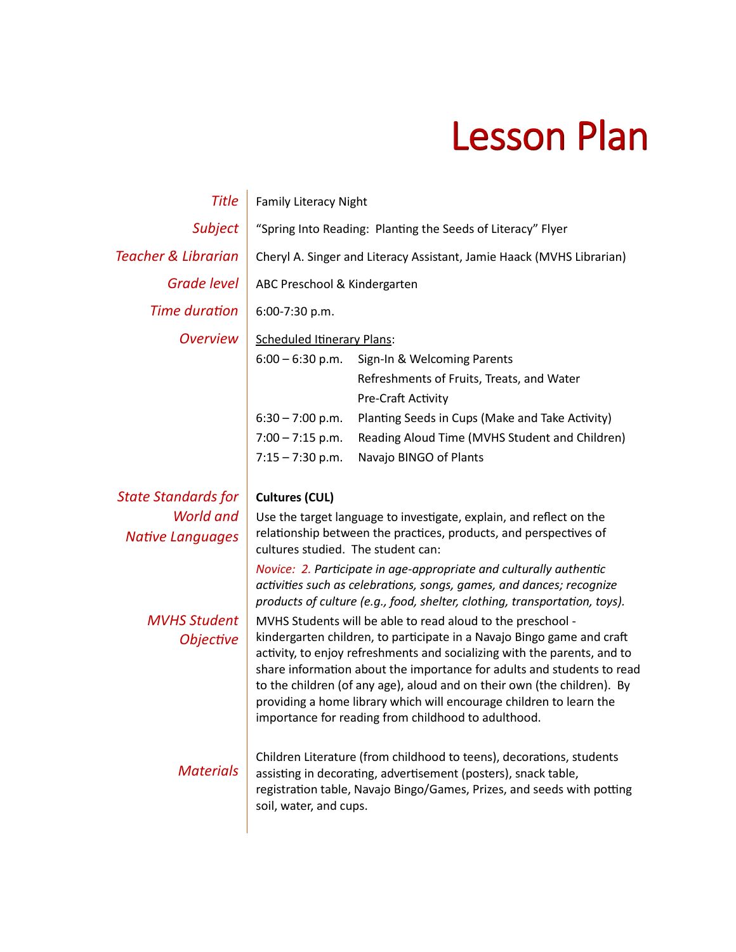## Lesson Plan

| <b>Title</b>                            | <b>Family Literacy Night</b>                                                                                                                                                                                                                                                                                                                                                                                                                                                                         |                                                                                                                                                                                                                          |  |
|-----------------------------------------|------------------------------------------------------------------------------------------------------------------------------------------------------------------------------------------------------------------------------------------------------------------------------------------------------------------------------------------------------------------------------------------------------------------------------------------------------------------------------------------------------|--------------------------------------------------------------------------------------------------------------------------------------------------------------------------------------------------------------------------|--|
| Subject                                 | "Spring Into Reading: Planting the Seeds of Literacy" Flyer                                                                                                                                                                                                                                                                                                                                                                                                                                          |                                                                                                                                                                                                                          |  |
| <b>Teacher &amp; Librarian</b>          | Cheryl A. Singer and Literacy Assistant, Jamie Haack (MVHS Librarian)                                                                                                                                                                                                                                                                                                                                                                                                                                |                                                                                                                                                                                                                          |  |
| <b>Grade level</b>                      | ABC Preschool & Kindergarten                                                                                                                                                                                                                                                                                                                                                                                                                                                                         |                                                                                                                                                                                                                          |  |
| <b>Time duration</b>                    | 6:00-7:30 p.m.                                                                                                                                                                                                                                                                                                                                                                                                                                                                                       |                                                                                                                                                                                                                          |  |
| <b>Overview</b>                         | <b>Scheduled Itinerary Plans:</b>                                                                                                                                                                                                                                                                                                                                                                                                                                                                    |                                                                                                                                                                                                                          |  |
|                                         | $6:00 - 6:30$ p.m.                                                                                                                                                                                                                                                                                                                                                                                                                                                                                   | Sign-In & Welcoming Parents                                                                                                                                                                                              |  |
|                                         |                                                                                                                                                                                                                                                                                                                                                                                                                                                                                                      | Refreshments of Fruits, Treats, and Water                                                                                                                                                                                |  |
|                                         |                                                                                                                                                                                                                                                                                                                                                                                                                                                                                                      | Pre-Craft Activity                                                                                                                                                                                                       |  |
|                                         | $6:30 - 7:00$ p.m.                                                                                                                                                                                                                                                                                                                                                                                                                                                                                   | Planting Seeds in Cups (Make and Take Activity)                                                                                                                                                                          |  |
|                                         | $7:00 - 7:15$ p.m.                                                                                                                                                                                                                                                                                                                                                                                                                                                                                   | Reading Aloud Time (MVHS Student and Children)                                                                                                                                                                           |  |
|                                         | $7:15 - 7:30$ p.m.                                                                                                                                                                                                                                                                                                                                                                                                                                                                                   | Navajo BINGO of Plants                                                                                                                                                                                                   |  |
| <b>State Standards for</b>              | <b>Cultures (CUL)</b>                                                                                                                                                                                                                                                                                                                                                                                                                                                                                |                                                                                                                                                                                                                          |  |
| World and                               | Use the target language to investigate, explain, and reflect on the                                                                                                                                                                                                                                                                                                                                                                                                                                  |                                                                                                                                                                                                                          |  |
| <b>Native Languages</b>                 | relationship between the practices, products, and perspectives of<br>cultures studied. The student can:                                                                                                                                                                                                                                                                                                                                                                                              |                                                                                                                                                                                                                          |  |
|                                         |                                                                                                                                                                                                                                                                                                                                                                                                                                                                                                      | Novice: 2. Participate in age-appropriate and culturally authentic<br>activities such as celebrations, songs, games, and dances; recognize<br>products of culture (e.g., food, shelter, clothing, transportation, toys). |  |
| <b>MVHS Student</b><br><b>Objective</b> | MVHS Students will be able to read aloud to the preschool -<br>kindergarten children, to participate in a Navajo Bingo game and craft<br>activity, to enjoy refreshments and socializing with the parents, and to<br>share information about the importance for adults and students to read<br>to the children (of any age), aloud and on their own (the children). By<br>providing a home library which will encourage children to learn the<br>importance for reading from childhood to adulthood. |                                                                                                                                                                                                                          |  |
| <b>Materials</b>                        | Children Literature (from childhood to teens), decorations, students<br>assisting in decorating, advertisement (posters), snack table,<br>registration table, Navajo Bingo/Games, Prizes, and seeds with potting<br>soil, water, and cups.                                                                                                                                                                                                                                                           |                                                                                                                                                                                                                          |  |